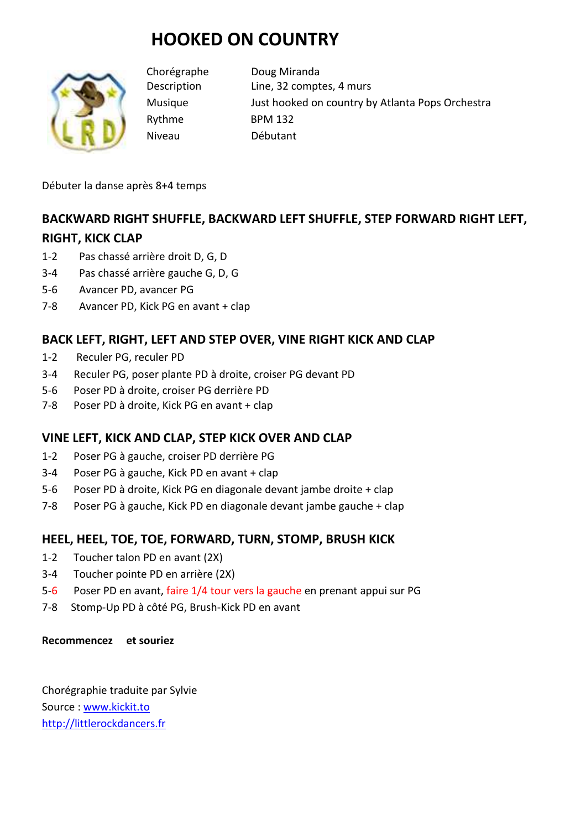# **HOOKED ON COUNTRY**



Chorégraphe Doug Miranda Description Line, 32 comptes, 4 murs Musique Just hooked on country by Atlanta Pops Orchestra Rythme BPM 132 Niveau Débutant

Débuter la danse après 8+4 temps

# **BACKWARD RIGHT SHUFFLE, BACKWARD LEFT SHUFFLE, STEP FORWARD RIGHT LEFT, RIGHT, KICK CLAP**

- 1-2 Pas chassé arrière droit D, G, D
- 3-4 Pas chassé arrière gauche G, D, G
- 5-6 Avancer PD, avancer PG
- 7-8 Avancer PD, Kick PG en avant + clap

## **BACK LEFT, RIGHT, LEFT AND STEP OVER, VINE RIGHT KICK AND CLAP**

- 1-2 Reculer PG, reculer PD
- 3-4 Reculer PG, poser plante PD à droite, croiser PG devant PD
- 5-6 Poser PD à droite, croiser PG derrière PD
- 7-8 Poser PD à droite, Kick PG en avant + clap

## **VINE LEFT, KICK AND CLAP, STEP KICK OVER AND CLAP**

- 1-2 Poser PG à gauche, croiser PD derrière PG
- 3-4 Poser PG à gauche, Kick PD en avant + clap
- 5-6 Poser PD à droite, Kick PG en diagonale devant jambe droite + clap
- 7-8 Poser PG à gauche, Kick PD en diagonale devant jambe gauche + clap

## **HEEL, HEEL, TOE, TOE, FORWARD, TURN, STOMP, BRUSH KICK**

- 1-2 Toucher talon PD en avant (2X)
- 3-4 Toucher pointe PD en arrière (2X)
- 5-6 Poser PD en avant, faire 1/4 tour vers la gauche en prenant appui sur PG
- 7-8 Stomp-Up PD à côté PG, Brush-Kick PD en avant

#### **Recommencez et souriez**

Chorégraphie traduite par Sylvie Source : www.kickit.to http://littlerockdancers.fr